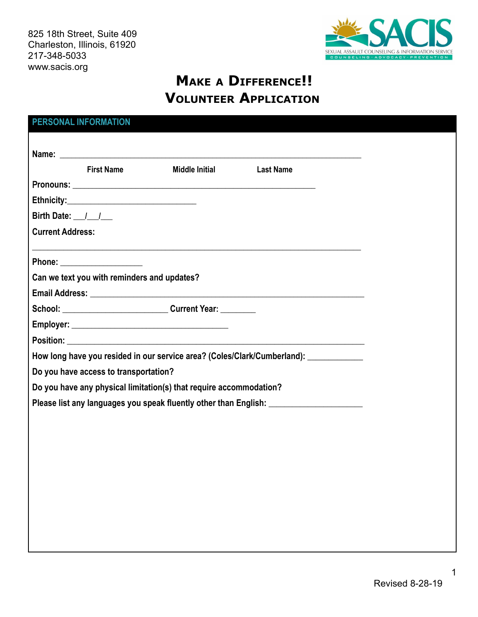825 18th Street, Suite 409 Charleston, Illinois, 61920 217-348-5033 www.sacis.org



# **MAKE <sup>A</sup> DIFFERENCE!! VOLUNTEER APPLICATION**

|                                                                                       | <b>PERSONAL INFORMATION</b>                 |                                                                                  |                  |  |
|---------------------------------------------------------------------------------------|---------------------------------------------|----------------------------------------------------------------------------------|------------------|--|
|                                                                                       |                                             |                                                                                  |                  |  |
|                                                                                       |                                             |                                                                                  |                  |  |
|                                                                                       | <b>First Name</b>                           | <b>Middle Initial</b>                                                            | <b>Last Name</b> |  |
|                                                                                       |                                             |                                                                                  |                  |  |
|                                                                                       |                                             |                                                                                  |                  |  |
| Birth Date: $\frac{1}{\sqrt{2}}$                                                      |                                             |                                                                                  |                  |  |
| <b>Current Address:</b>                                                               |                                             |                                                                                  |                  |  |
|                                                                                       |                                             | ,我们也不会有什么。""我们的人,我们也不会有什么?""我们的人,我们也不会有什么?""我们的人,我们也不会有什么?""我们的人,我们也不会有什么?""我们的人 |                  |  |
|                                                                                       |                                             |                                                                                  |                  |  |
|                                                                                       | Can we text you with reminders and updates? |                                                                                  |                  |  |
|                                                                                       |                                             |                                                                                  |                  |  |
|                                                                                       |                                             | School: Current Year:                                                            |                  |  |
|                                                                                       |                                             |                                                                                  |                  |  |
|                                                                                       |                                             | Position: <u>Alexander School and Charles Communication</u>                      |                  |  |
| How long have you resided in our service area? (Coles/Clark/Cumberland): ____________ |                                             |                                                                                  |                  |  |
| Do you have access to transportation?                                                 |                                             |                                                                                  |                  |  |
| Do you have any physical limitation(s) that require accommodation?                    |                                             |                                                                                  |                  |  |
| Please list any languages you speak fluently other than English: ________________     |                                             |                                                                                  |                  |  |
|                                                                                       |                                             |                                                                                  |                  |  |
|                                                                                       |                                             |                                                                                  |                  |  |
|                                                                                       |                                             |                                                                                  |                  |  |
|                                                                                       |                                             |                                                                                  |                  |  |
|                                                                                       |                                             |                                                                                  |                  |  |
|                                                                                       |                                             |                                                                                  |                  |  |
|                                                                                       |                                             |                                                                                  |                  |  |
|                                                                                       |                                             |                                                                                  |                  |  |
|                                                                                       |                                             |                                                                                  |                  |  |

1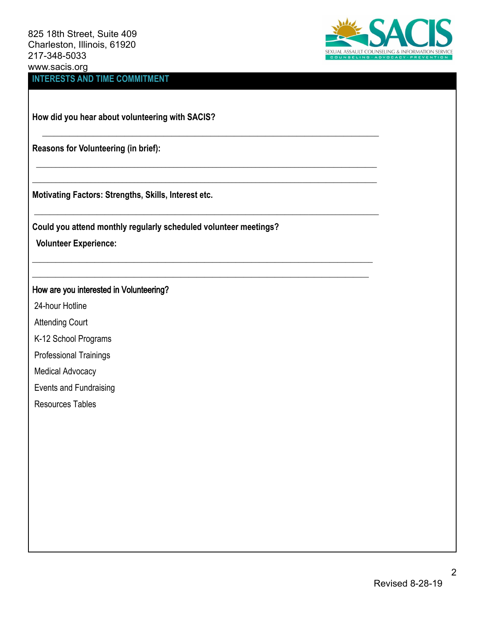825 18th Street, Suite 409 Charleston, Illinois, 61920 217-348-5033 www.sacis.org **INTERESTS AND TIME COMMITMENT**



**How did you hear about volunteering with SACIS?**

**Reasons for Volunteering (in brief):**

**Motivating Factors: Strengths, Skills, Interest etc.**

**Could you attend monthly regularly scheduled volunteer meetings?**

 $\_$  , and the set of the set of the set of the set of the set of the set of the set of the set of the set of the set of the set of the set of the set of the set of the set of the set of the set of the set of the set of th

 $\_$  , and the set of the set of the set of the set of the set of the set of the set of the set of the set of the set of the set of the set of the set of the set of the set of the set of the set of the set of the set of th  $\_$  , and the set of the set of the set of the set of the set of the set of the set of the set of the set of the set of the set of the set of the set of the set of the set of the set of the set of the set of the set of th

 $\_$  , and the set of the set of the set of the set of the set of the set of the set of the set of the set of the set of the set of the set of the set of the set of the set of the set of the set of the set of the set of th

\_\_\_\_\_\_\_\_\_\_\_\_\_\_\_\_\_\_\_\_\_\_\_\_\_\_\_\_\_\_\_\_\_\_\_\_\_\_\_\_\_\_\_\_\_\_\_\_\_\_\_\_\_\_\_\_\_\_\_\_\_\_\_\_\_\_\_\_\_\_\_\_\_\_\_\_\_\_\_\_\_\_\_\_\_\_\_ \_\_\_\_\_\_\_\_\_\_\_\_\_\_\_\_\_\_\_\_\_\_\_\_\_\_\_\_\_\_\_\_\_\_\_\_\_\_\_\_\_\_\_\_\_\_\_\_\_\_\_\_\_\_\_\_\_\_\_\_\_\_\_\_\_\_\_\_\_\_\_\_\_\_\_\_\_\_\_\_\_\_\_\_\_\_

**Volunteer Experience:**

# How are you interested in Volunteering?

24-hour Hotline

Attending Court

K-12 School Programs

Professional Trainings

Medical Advocacy

Events and Fundraising

Resources Tables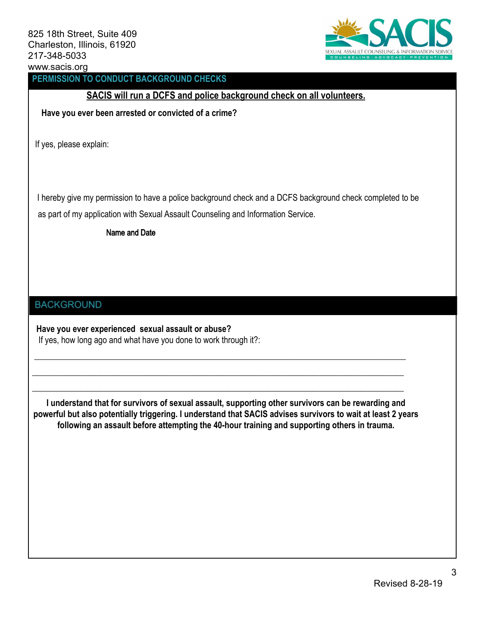

# **PERMISSION TO CONDUCT BACKGROUND CHECKS**

# **SACIS will run a DCFS and police background check on all volunteers.**

**Have you ever been arrested or convicted of a crime?**

If yes, please explain:

as part of my application with Sexual Assault Counseling and Information Service. I hereby give my permission to have a police background check and a DCFS background check completed to be

Name and Date

#### **BACKGROUND**

**Have you ever experienced sexual assault or abuse?** If yes, how long ago and what have you done to work through it?:

**I understand that for survivors of sexual assault, supporting other survivors can be rewarding and powerful but also potentially triggering. I understand that SACIS advises survivors to wait at least 2 years following an assault before attempting the 40-hour training and supporting others in trauma.**

\_\_\_\_\_\_\_\_\_\_\_\_\_\_\_\_\_\_\_\_\_\_\_\_\_\_\_\_\_\_\_\_\_\_\_\_\_\_\_\_\_\_\_\_\_\_\_\_\_\_\_\_\_\_\_\_\_\_\_\_\_\_\_\_\_\_\_\_\_\_\_\_\_\_\_\_\_\_\_\_\_\_\_\_\_\_\_

\_\_\_\_\_\_\_\_\_\_\_\_\_\_\_\_\_\_\_\_\_\_\_\_\_\_\_\_\_\_\_\_\_\_\_\_\_\_\_\_\_\_\_\_\_\_\_\_\_\_\_\_\_\_\_\_\_\_\_\_\_\_\_\_\_\_\_\_\_\_\_\_\_\_\_\_\_\_\_\_\_\_\_\_\_\_\_

\_\_\_\_\_\_\_\_\_\_\_\_\_\_\_\_\_\_\_\_\_\_\_\_\_\_\_\_\_\_\_\_\_\_\_\_\_\_\_\_\_\_\_\_\_\_\_\_\_\_\_\_\_\_\_\_\_\_\_\_\_\_\_\_\_\_\_\_\_\_\_\_\_\_\_\_\_\_\_\_\_\_\_\_\_\_\_